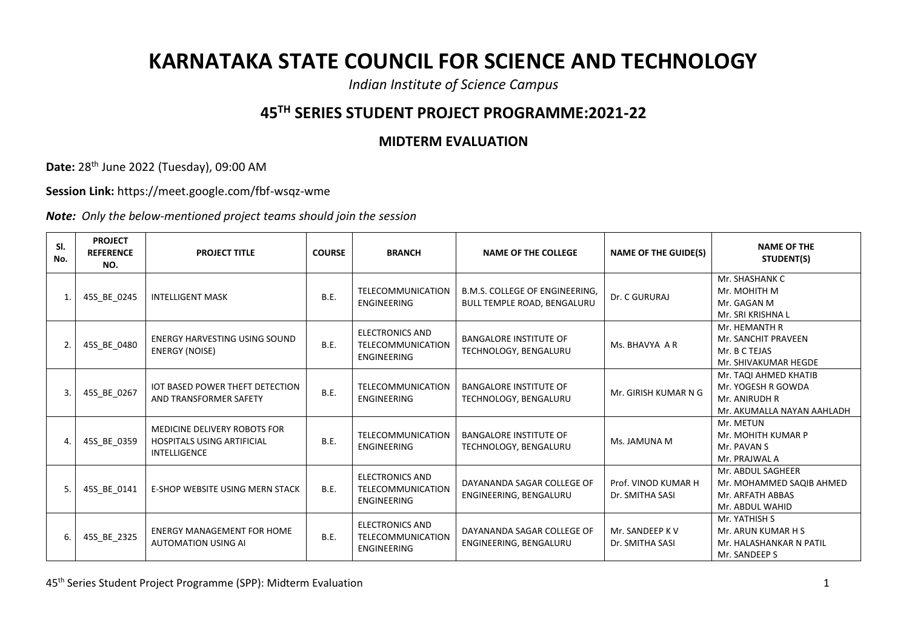## **KARNATAKA STATE COUNCIL FOR SCIENCE AND TECHNOLOGY**

*Indian Institute of Science Campus*

## **45TH SERIES STUDENT PROJECT PROGRAMME:2021-22**

## **MIDTERM EVALUATION**

**Date:** 28 th June 2022 (Tuesday), 09:00 AM

**Session Link:** https://meet.google.com/fbf-wsqz-wme

*Note: Only the below-mentioned project teams should join the session*

| SI.<br>No. | <b>PROJECT</b><br><b>REFERENCE</b><br>NO. | <b>PROJECT TITLE</b>                                                                     | <b>COURSE</b> | <b>BRANCH</b>                                                            | <b>NAME OF THE COLLEGE</b>                                    | <b>NAME OF THE GUIDE(S)</b>            | <b>NAME OF THE</b><br>STUDENT(S)                                                           |
|------------|-------------------------------------------|------------------------------------------------------------------------------------------|---------------|--------------------------------------------------------------------------|---------------------------------------------------------------|----------------------------------------|--------------------------------------------------------------------------------------------|
|            | 45S_BE_0245                               | <b>INTELLIGENT MASK</b>                                                                  | <b>B.E.</b>   | <b>TELECOMMUNICATION</b><br><b>ENGINEERING</b>                           | B.M.S. COLLEGE OF ENGINEERING,<br>BULL TEMPLE ROAD, BENGALURU | Dr. C GURURAJ                          | Mr. SHASHANK C<br>Mr. MOHITH M<br>Mr. GAGAN M<br>Mr. SRI KRISHNA L                         |
|            | 45S_BE_0480                               | <b>ENERGY HARVESTING USING SOUND</b><br><b>ENERGY (NOISE)</b>                            | B.E.          | <b>ELECTRONICS AND</b><br><b>TELECOMMUNICATION</b><br>ENGINEERING        | <b>BANGALORE INSTITUTE OF</b><br>TECHNOLOGY, BENGALURU        | Ms. BHAVYA A R                         | Mr. HEMANTH R<br>Mr. SANCHIT PRAVEEN<br>Mr. B C TEJAS<br>Mr. SHIVAKUMAR HEGDE              |
|            | 45S_BE_0267                               | <b>IOT BASED POWER THEFT DETECTION</b><br>AND TRANSFORMER SAFETY                         | <b>B.E.</b>   | <b>TELECOMMUNICATION</b><br><b>ENGINEERING</b>                           | <b>BANGALORE INSTITUTE OF</b><br>TECHNOLOGY, BENGALURU        | Mr. GIRISH KUMAR N G                   | Mr. TAQI AHMED KHATIB<br>Mr. YOGESH R GOWDA<br>Mr. ANIRUDH R<br>Mr. AKUMALLA NAYAN AAHLADH |
|            | 45S_BE_0359                               | MEDICINE DELIVERY ROBOTS FOR<br><b>HOSPITALS USING ARTIFICIAL</b><br><b>INTELLIGENCE</b> | <b>B.E.</b>   | <b>TELECOMMUNICATION</b><br><b>ENGINEERING</b>                           | <b>BANGALORE INSTITUTE OF</b><br>TECHNOLOGY, BENGALURU        | Ms. JAMUNA M                           | Mr. METUN<br>Mr. MOHITH KUMAR P<br>Mr. PAVAN S<br>Mr. PRAJWAL A                            |
|            | 45S BE 0141                               | <b>E-SHOP WEBSITE USING MERN STACK</b>                                                   | B.E.          | <b>ELECTRONICS AND</b><br><b>TELECOMMUNICATION</b><br>ENGINEERING        | DAYANANDA SAGAR COLLEGE OF<br>ENGINEERING, BENGALURU          | Prof. VINOD KUMAR H<br>Dr. SMITHA SASI | Mr. ABDUL SAGHEER<br>Mr. MOHAMMED SAQIB AHMED<br>Mr. ARFATH ABBAS<br>Mr. ABDUL WAHID       |
|            | 45S_BE_2325                               | <b>ENERGY MANAGEMENT FOR HOME</b><br><b>AUTOMATION USING AI</b>                          | B.E.          | <b>ELECTRONICS AND</b><br><b>TELECOMMUNICATION</b><br><b>ENGINEERING</b> | DAYANANDA SAGAR COLLEGE OF<br>ENGINEERING, BENGALURU          | Mr. SANDEEP K V<br>Dr. SMITHA SASI     | Mr. YATHISH S<br>Mr. ARUN KUMAR H S<br>Mr. HALASHANKAR N PATIL<br>Mr. SANDEEP S            |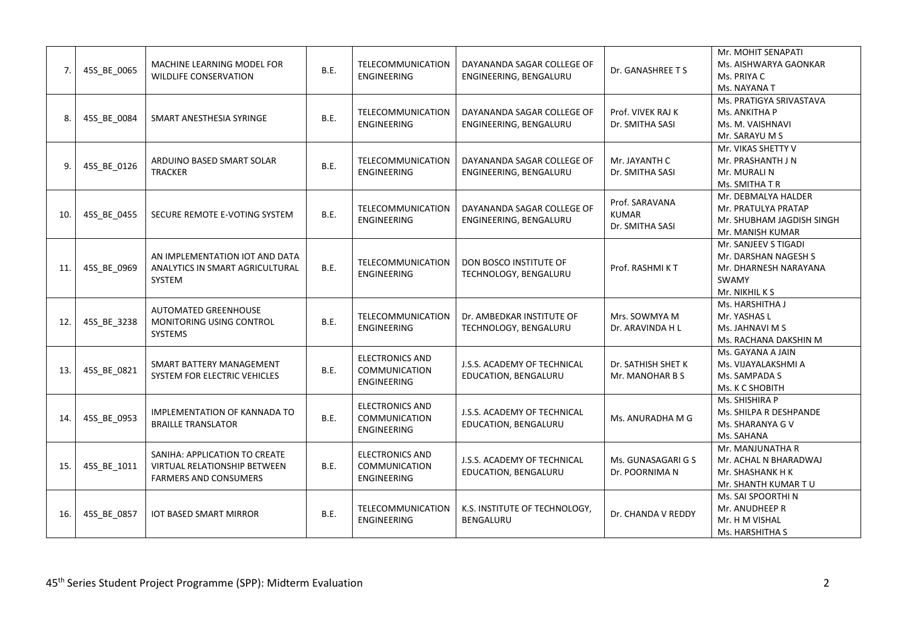| 7.  | 45S_BE_0065 | MACHINE LEARNING MODEL FOR<br><b>WILDLIFE CONSERVATION</b>                                           | B.E.        | <b>TELECOMMUNICATION</b><br>ENGINEERING                       | DAYANANDA SAGAR COLLEGE OF<br>ENGINEERING, BENGALURU | Dr. GANASHREE T S                                 | Mr. MOHIT SENAPATI<br>Ms. AISHWARYA GAONKAR<br>Ms. PRIYA C<br>Ms. NAYANA T                       |
|-----|-------------|------------------------------------------------------------------------------------------------------|-------------|---------------------------------------------------------------|------------------------------------------------------|---------------------------------------------------|--------------------------------------------------------------------------------------------------|
| 8.  | 45S_BE_0084 | SMART ANESTHESIA SYRINGE                                                                             | B.E.        | TELECOMMUNICATION<br><b>ENGINEERING</b>                       | DAYANANDA SAGAR COLLEGE OF<br>ENGINEERING, BENGALURU | Prof. VIVEK RAJ K<br>Dr. SMITHA SASI              | Ms. PRATIGYA SRIVASTAVA<br>Ms. ANKITHA P<br>Ms. M. VAISHNAVI<br>Mr. SARAYU M S                   |
| 9.  | 45S BE 0126 | ARDUINO BASED SMART SOLAR<br><b>TRACKER</b>                                                          | B.E.        | TELECOMMUNICATION<br>ENGINEERING                              | DAYANANDA SAGAR COLLEGE OF<br>ENGINEERING, BENGALURU | Mr. JAYANTH C<br>Dr. SMITHA SASI                  | Mr. VIKAS SHETTY V<br>Mr. PRASHANTH J N<br>Mr. MURALI N<br>Ms. SMITHA T R                        |
| 10. | 45S BE 0455 | SECURE REMOTE E-VOTING SYSTEM                                                                        | B.E.        | <b>TELECOMMUNICATION</b><br><b>ENGINEERING</b>                | DAYANANDA SAGAR COLLEGE OF<br>ENGINEERING, BENGALURU | Prof. SARAVANA<br><b>KUMAR</b><br>Dr. SMITHA SASI | Mr. DEBMALYA HALDER<br>Mr. PRATULYA PRATAP<br>Mr. SHUBHAM JAGDISH SINGH<br>Mr. MANISH KUMAR      |
| 11. | 45S BE 0969 | AN IMPLEMENTATION IOT AND DATA<br>ANALYTICS IN SMART AGRICULTURAL<br>SYSTEM                          | B.E.        | TELECOMMUNICATION<br><b>ENGINEERING</b>                       | DON BOSCO INSTITUTE OF<br>TECHNOLOGY, BENGALURU      | Prof. RASHMI KT                                   | Mr. SANJEEV S TIGADI<br>Mr. DARSHAN NAGESH S<br>Mr. DHARNESH NARAYANA<br>SWAMY<br>Mr. NIKHIL K S |
| 12. | 45S BE 3238 | AUTOMATED GREENHOUSE<br>MONITORING USING CONTROL<br>SYSTEMS                                          | <b>B.E.</b> | TELECOMMUNICATION<br>ENGINEERING                              | Dr. AMBEDKAR INSTITUTE OF<br>TECHNOLOGY, BENGALURU   | Mrs. SOWMYA M<br>Dr. ARAVINDA H L                 | Ms. HARSHITHA J<br>Mr. YASHAS L<br>Ms. JAHNAVI M S<br>Ms. RACHANA DAKSHIN M                      |
| 13. | 45S BE 0821 | SMART BATTERY MANAGEMENT<br>SYSTEM FOR ELECTRIC VEHICLES                                             | B.E.        | <b>ELECTRONICS AND</b><br>COMMUNICATION<br>ENGINEERING        | J.S.S. ACADEMY OF TECHNICAL<br>EDUCATION, BENGALURU  | Dr. SATHISH SHET K<br>Mr. MANOHAR B S             | Ms. GAYANA A JAIN<br>Ms. VIJAYALAKSHMI A<br>Ms. SAMPADA S<br>Ms. K C SHOBITH                     |
| 14. | 45S_BE_0953 | <b>IMPLEMENTATION OF KANNADA TO</b><br><b>BRAILLE TRANSLATOR</b>                                     | B.E.        | <b>ELECTRONICS AND</b><br>COMMUNICATION<br><b>ENGINEERING</b> | J.S.S. ACADEMY OF TECHNICAL<br>EDUCATION, BENGALURU  | Ms. ANURADHA M G                                  | Ms. SHISHIRA P<br>Ms. SHILPA R DESHPANDE<br>Ms. SHARANYA G V<br>Ms. SAHANA                       |
| 15. | 45S_BE_1011 | SANIHA: APPLICATION TO CREATE<br><b>VIRTUAL RELATIONSHIP BETWEEN</b><br><b>FARMERS AND CONSUMERS</b> | B.E.        | <b>ELECTRONICS AND</b><br>COMMUNICATION<br><b>ENGINEERING</b> | J.S.S. ACADEMY OF TECHNICAL<br>EDUCATION, BENGALURU  | Ms. GUNASAGARI G S<br>Dr. POORNIMA N              | Mr. MANJUNATHA R<br>Mr. ACHAL N BHARADWAJ<br>Mr. SHASHANK H K<br>Mr. SHANTH KUMAR TU             |
| 16. | 45S_BE_0857 | <b>IOT BASED SMART MIRROR</b>                                                                        | B.E.        | TELECOMMUNICATION<br><b>ENGINEERING</b>                       | K.S. INSTITUTE OF TECHNOLOGY,<br><b>BENGALURU</b>    | Dr. CHANDA V REDDY                                | Ms. SAI SPOORTHI N<br>Mr. ANUDHEEP R<br>Mr. H M VISHAL<br>Ms. HARSHITHA S                        |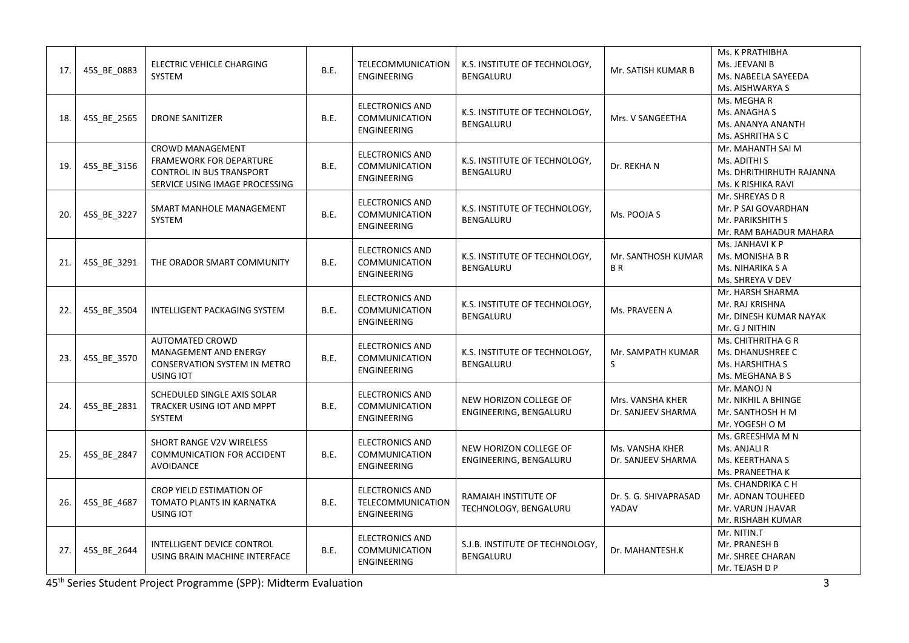| 17. | 45S BE 0883 | ELECTRIC VEHICLE CHARGING<br>SYSTEM                                                                                            | B.E.        | TELECOMMUNICATION<br><b>ENGINEERING</b>                       | K.S. INSTITUTE OF TECHNOLOGY,<br><b>BENGALURU</b> | Mr. SATISH KUMAR B                     | Ms. K PRATHIBHA<br>Ms. JEEVANI B<br>Ms. NABEELA SAYEEDA<br>Ms. AISHWARYA S           |
|-----|-------------|--------------------------------------------------------------------------------------------------------------------------------|-------------|---------------------------------------------------------------|---------------------------------------------------|----------------------------------------|--------------------------------------------------------------------------------------|
| 18. | 45S_BE_2565 | <b>DRONE SANITIZER</b>                                                                                                         | B.E.        | <b>ELECTRONICS AND</b><br><b>COMMUNICATION</b><br>ENGINEERING | K.S. INSTITUTE OF TECHNOLOGY,<br>BENGALURU        | Mrs. V SANGEETHA                       | Ms. MEGHA R<br>Ms. ANAGHA S<br>Ms. ANANYA ANANTH<br>Ms. ASHRITHA S C                 |
| 19. | 45S_BE_3156 | <b>CROWD MANAGEMENT</b><br><b>FRAMEWORK FOR DEPARTURE</b><br><b>CONTROL IN BUS TRANSPORT</b><br>SERVICE USING IMAGE PROCESSING | B.E.        | <b>ELECTRONICS AND</b><br>COMMUNICATION<br><b>ENGINEERING</b> | K.S. INSTITUTE OF TECHNOLOGY,<br><b>BENGALURU</b> | Dr. REKHA N                            | Mr. MAHANTH SAI M<br>Ms. ADITHI S<br>Ms. DHRITHIRHUTH RAJANNA<br>Ms. K RISHIKA RAVI  |
| 20. | 45S_BE_3227 | SMART MANHOLE MANAGEMENT<br>SYSTEM                                                                                             | B.E.        | <b>ELECTRONICS AND</b><br>COMMUNICATION<br>ENGINEERING        | K.S. INSTITUTE OF TECHNOLOGY,<br>BENGALURU        | Ms. POOJA S                            | Mr. SHREYAS D R<br>Mr. P SAI GOVARDHAN<br>Mr. PARIKSHITH S<br>Mr. RAM BAHADUR MAHARA |
| 21. | 45S BE 3291 | THE ORADOR SMART COMMUNITY                                                                                                     | B.E.        | <b>ELECTRONICS AND</b><br>COMMUNICATION<br><b>ENGINEERING</b> | K.S. INSTITUTE OF TECHNOLOGY,<br><b>BENGALURU</b> | Mr. SANTHOSH KUMAR<br><b>BR</b>        | Ms. JANHAVI K P<br>Ms. MONISHA B R<br>Ms. NIHARIKA S A<br>Ms. SHREYA V DEV           |
| 22. | 45S_BE_3504 | <b>INTELLIGENT PACKAGING SYSTEM</b>                                                                                            | B.E.        | <b>ELECTRONICS AND</b><br>COMMUNICATION<br>ENGINEERING        | K.S. INSTITUTE OF TECHNOLOGY,<br>BENGALURU        | Ms. PRAVEEN A                          | Mr. HARSH SHARMA<br>Mr. RAJ KRISHNA<br>Mr. DINESH KUMAR NAYAK<br>Mr. G J NITHIN      |
| 23. | 45S BE 3570 | <b>AUTOMATED CROWD</b><br>MANAGEMENT AND ENERGY<br>CONSERVATION SYSTEM IN METRO<br>USING IOT                                   | B.E.        | <b>ELECTRONICS AND</b><br>COMMUNICATION<br><b>ENGINEERING</b> | K.S. INSTITUTE OF TECHNOLOGY,<br><b>BENGALURU</b> | Mr. SAMPATH KUMAR<br>S                 | Ms. CHITHRITHA G R<br>Ms. DHANUSHREE C<br>Ms. HARSHITHA S<br>Ms. MEGHANA B S         |
| 24. | 45S_BE_2831 | SCHEDULED SINGLE AXIS SOLAR<br>TRACKER USING IOT AND MPPT<br>SYSTEM                                                            | B.E.        | <b>ELECTRONICS AND</b><br>COMMUNICATION<br><b>ENGINEERING</b> | NEW HORIZON COLLEGE OF<br>ENGINEERING, BENGALURU  | Mrs. VANSHA KHER<br>Dr. SANJEEV SHARMA | Mr. MANOJ N<br>Mr. NIKHIL A BHINGE<br>Mr. SANTHOSH H M<br>Mr. YOGESH O M             |
| 25. | 45S BE 2847 | SHORT RANGE V2V WIRELESS<br>COMMUNICATION FOR ACCIDENT<br>AVOIDANCE                                                            | B.E.        | <b>ELECTRONICS AND</b><br>COMMUNICATION<br>ENGINEERING        | NEW HORIZON COLLEGE OF<br>ENGINEERING, BENGALURU  | Ms. VANSHA KHER<br>Dr. SANJEEV SHARMA  | Ms. GREESHMA M N<br>Ms. ANJALI R<br>Ms. KEERTHANA S<br>Ms. PRANEETHA K               |
| 26. | 45S_BE_4687 | CROP YIELD ESTIMATION OF<br>TOMATO PLANTS IN KARNATKA<br>USING IOT                                                             | <b>B.E.</b> | <b>ELECTRONICS AND</b><br>TELECOMMUNICATION<br>ENGINEERING    | RAMAIAH INSTITUTE OF<br>TECHNOLOGY, BENGALURU     | Dr. S. G. SHIVAPRASAD<br>YADAV         | Ms. CHANDRIKA C H<br>Mr. ADNAN TOUHEED<br>Mr. VARUN JHAVAR<br>Mr. RISHABH KUMAR      |
| 27. | 45S BE 2644 | INTELLIGENT DEVICE CONTROL<br>USING BRAIN MACHINE INTERFACE                                                                    | B.E.        | <b>ELECTRONICS AND</b><br>COMMUNICATION<br>ENGINEERING        | S.J.B. INSTITUTE OF TECHNOLOGY,<br>BENGALURU      | Dr. MAHANTESH.K                        | Mr. NITIN.T<br>Mr. PRANESH B<br>Mr. SHREE CHARAN<br>Mr. TEJASH D P                   |

45th Series Student Project Programme (SPP): Midterm Evaluation 3